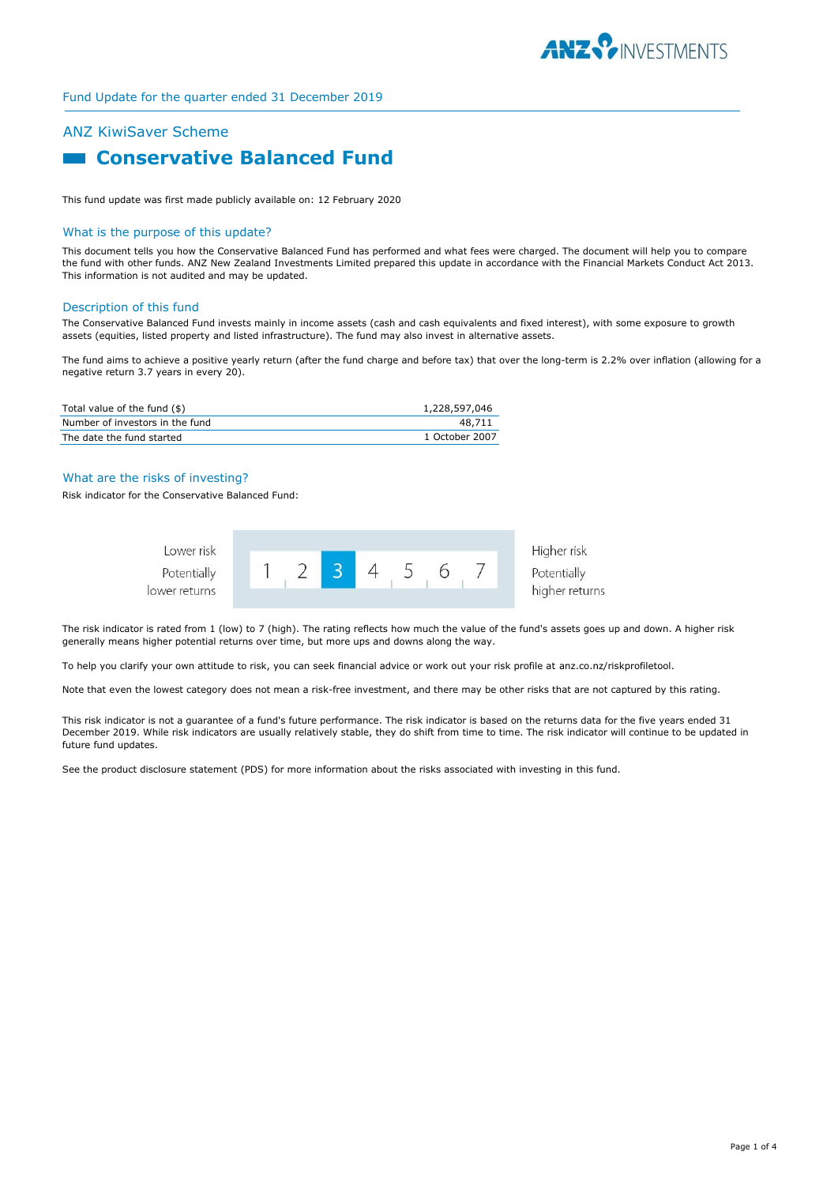

# ANZ KiwiSaver Scheme

# **Example 2 Conservative Balanced Fund**

This fund update was first made publicly available on: 12 February 2020

#### What is the purpose of this update?

This document tells you how the Conservative Balanced Fund has performed and what fees were charged. The document will help you to compare the fund with other funds. ANZ New Zealand Investments Limited prepared this update in accordance with the Financial Markets Conduct Act 2013. This information is not audited and may be updated.

## Description of this fund

The Conservative Balanced Fund invests mainly in income assets (cash and cash equivalents and fixed interest), with some exposure to growth assets (equities, listed property and listed infrastructure). The fund may also invest in alternative assets.

The fund aims to achieve a positive yearly return (after the fund charge and before tax) that over the long-term is 2.2% over inflation (allowing for a negative return 3.7 years in every 20).

| Total value of the fund (\$)    | 1,228,597,046  |
|---------------------------------|----------------|
| Number of investors in the fund | 48.711         |
| The date the fund started       | 1 October 2007 |

# What are the risks of investing?

Risk indicator for the Conservative Balanced Fund:



The risk indicator is rated from 1 (low) to 7 (high). The rating reflects how much the value of the fund's assets goes up and down. A higher risk generally means higher potential returns over time, but more ups and downs along the way.

To help you clarify your own attitude to risk, you can seek financial advice or work out your risk profile at anz.co.nz/riskprofiletool.

Note that even the lowest category does not mean a risk-free investment, and there may be other risks that are not captured by this rating.

This risk indicator is not a guarantee of a fund's future performance. The risk indicator is based on the returns data for the five years ended 31 December 2019. While risk indicators are usually relatively stable, they do shift from time to time. The risk indicator will continue to be updated in future fund updates.

See the product disclosure statement (PDS) for more information about the risks associated with investing in this fund.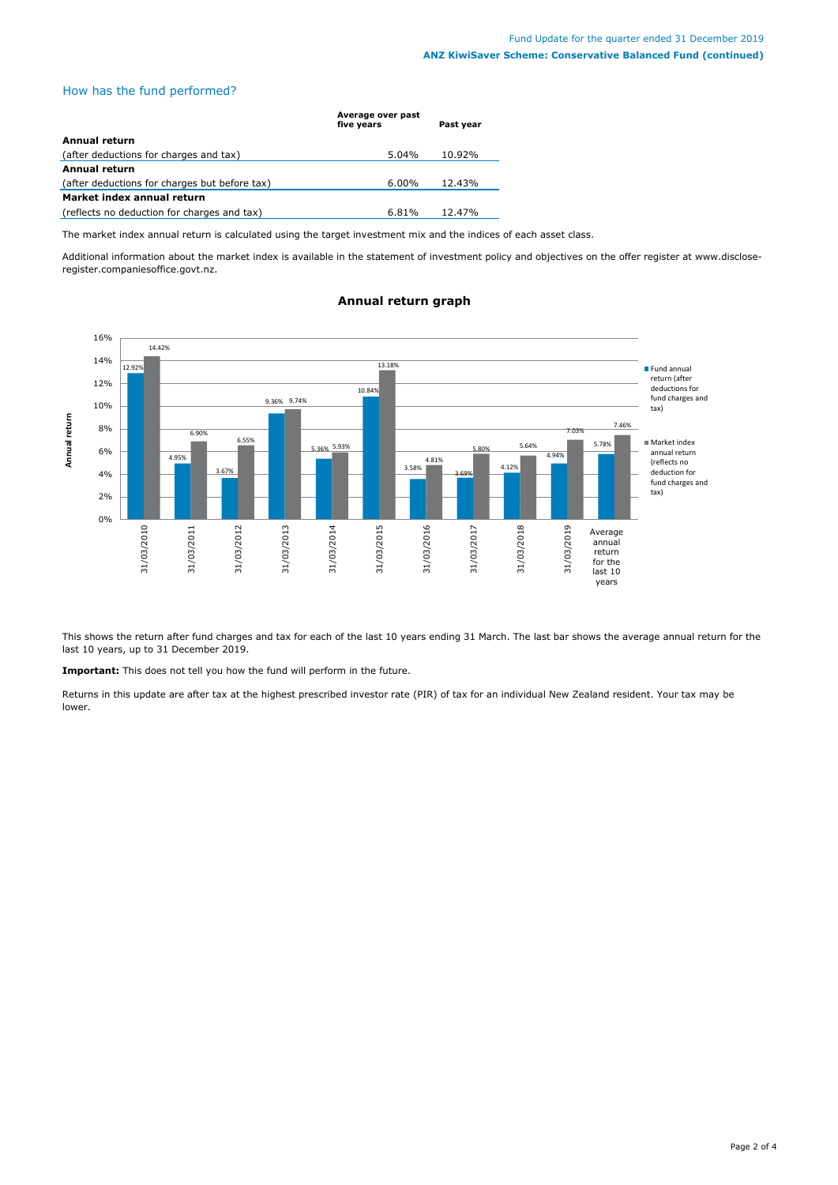# How has the fund performed?

|                                               | Average over past<br>five years | Past year |
|-----------------------------------------------|---------------------------------|-----------|
| Annual return                                 |                                 |           |
| (after deductions for charges and tax)        | $5.04\%$                        | 10.92%    |
| <b>Annual return</b>                          |                                 |           |
| (after deductions for charges but before tax) | $6.00\%$                        | 12.43%    |
| Market index annual return                    |                                 |           |
| (reflects no deduction for charges and tax)   | 6.81%                           | 12.47%    |

The market index annual return is calculated using the target investment mix and the indices of each asset class.

Additional information about the market index is available in the statement of investment policy and objectives on the offer register at www.discloseregister.companiesoffice.govt.nz.



# **Annual return graph**

This shows the return after fund charges and tax for each of the last 10 years ending 31 March. The last bar shows the average annual return for the last 10 years, up to 31 December 2019.

**Important:** This does not tell you how the fund will perform in the future.

Returns in this update are after tax at the highest prescribed investor rate (PIR) of tax for an individual New Zealand resident. Your tax may be lower.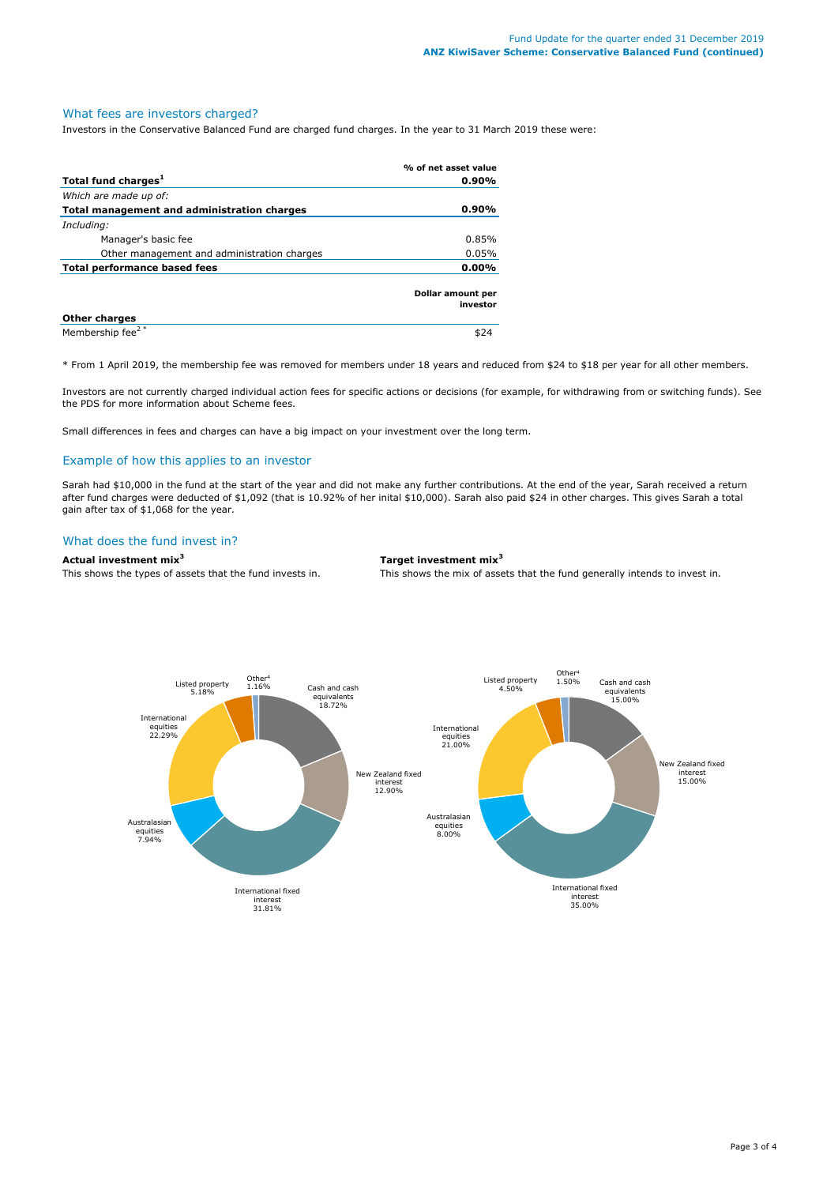# What fees are investors charged?

Investors in the Conservative Balanced Fund are charged fund charges. In the year to 31 March 2019 these were:

|                                             | % of net asset value          |
|---------------------------------------------|-------------------------------|
| Total fund charges <sup>1</sup>             | $0.90\%$                      |
| Which are made up of:                       |                               |
| Total management and administration charges | $0.90\%$                      |
| Including:                                  |                               |
| Manager's basic fee                         | 0.85%                         |
| Other management and administration charges | 0.05%                         |
| Total performance based fees                | $0.00\%$                      |
|                                             | Dollar amount per<br>investor |
| <b>Other charges</b>                        |                               |
| Membership fee <sup>2*</sup>                | \$24                          |

\* From 1 April 2019, the membership fee was removed for members under 18 years and reduced from \$24 to \$18 per year for all other members.

Investors are not currently charged individual action fees for specific actions or decisions (for example, for withdrawing from or switching funds). See the PDS for more information about Scheme fees.

Small differences in fees and charges can have a big impact on your investment over the long term.

# Example of how this applies to an investor

Sarah had \$10,000 in the fund at the start of the year and did not make any further contributions. At the end of the year, Sarah received a return after fund charges were deducted of \$1,092 (that is 10.92% of her inital \$10,000). Sarah also paid \$24 in other charges. This gives Sarah a total gain after tax of \$1,068 for the year.

# What does the fund invest in?

**Actual investment mix<sup>3</sup> Target investment mix<sup>3</sup>**

This shows the types of assets that the fund invests in. This shows the mix of assets that the fund generally intends to invest in.